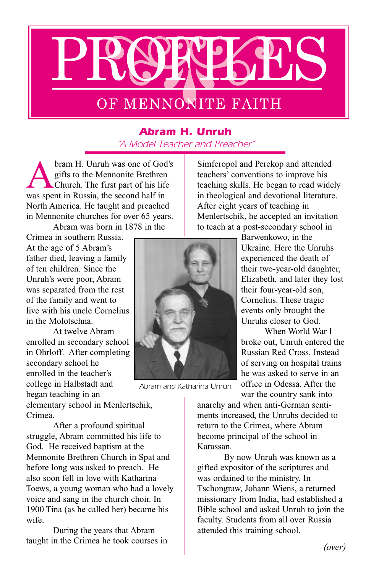

## *Abram H. Unruh "A Model Teacher and Preacher"*

**Abram H. Unruh was one of God's**<br>
gifts to the Mennonite Brethren<br>
Church. The first part of his life<br>
was spent in Russia the second half in gifts to the Mennonite Brethren was spent in Russia, the second half in North America. He taught and preached in Mennonite churches for over 65 years. Abram was born in 1878 in the

Crimea in southern Russia. At the age of 5 Abram's father died, leaving a family of ten children. Since the Unruh's were poor, Abram was separated from the rest of the family and went to live with his uncle Cornelius in the Molotschna.

At twelve Abram enrolled in secondary school in Ohrloff. After completing secondary school he enrolled in the teacher's college in Halbstadt and began teaching in an

elementary school in Menlertschik, Crimea.

After a profound spiritual struggle, Abram committed his life to God. He received bantism at the Mennonite Brethren Church in Spat and before long was asked to preach. He also soon fell in love with Katharina Toews, a young woman who had a lovely voice and sang in the church choir. In 1900 Tina (as he called her) became his wife.

During the years that Abram taught in the Crimea he took courses in teaching skills. He began to read widely in theological and devotional literature. After eight years of teaching in Menlertschik, he accepted an invitation to teach at a post-secondary school in Barwenkowo, in the

Simferopol and Perekop and attended teachers' conventions to improve his

> Ukraine. Here the Unruhs experienced the death of their two-year-old daughter, Elizabeth, and later they lost their four-year-old son, Cornelius. These tragic events only brought the Unruhs closer to God.

> When World War I broke out, Unruh entered the Russian Red Cross. Instead of serving on hospital trains he was asked to serve in an office in Odessa. After the war the country sank into

anarchy and when anti-German sentiments increased, the Unruhs decided to return to the Crimea, where Abram become principal of the school in Karassan.

By now Unruh was known as a gifted expositor of the scriptures and was ordained to the ministry. In Tschongraw, Johann Wiens, a returned missionary from India, had established a Bible school and asked Unruh to join the faculty. Students from all over Russia attended this training school.



*Abram and Katharina Unruh*